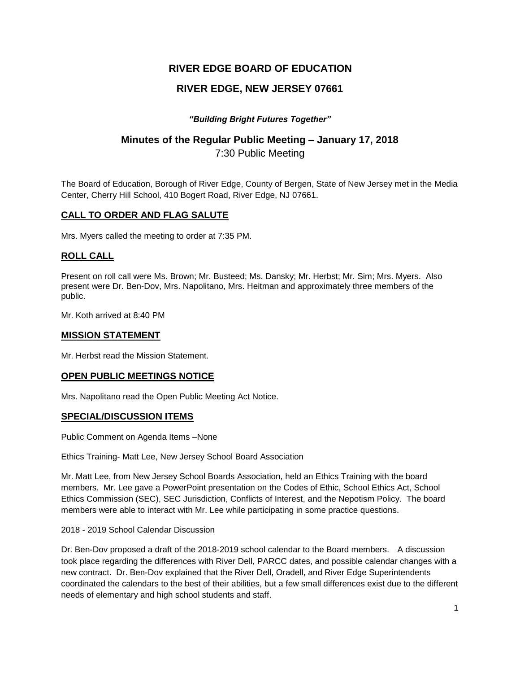# **RIVER EDGE BOARD OF EDUCATION**

# **RIVER EDGE, NEW JERSEY 07661**

## *"Building Bright Futures Together"*

# **Minutes of the Regular Public Meeting – January 17, 2018**

7:30 Public Meeting

The Board of Education, Borough of River Edge, County of Bergen, State of New Jersey met in the Media Center, Cherry Hill School, 410 Bogert Road, River Edge, NJ 07661.

# **CALL TO ORDER AND FLAG SALUTE**

Mrs. Myers called the meeting to order at 7:35 PM.

# **ROLL CALL**

Present on roll call were Ms. Brown; Mr. Busteed; Ms. Dansky; Mr. Herbst; Mr. Sim; Mrs. Myers. Also present were Dr. Ben-Dov, Mrs. Napolitano, Mrs. Heitman and approximately three members of the public.

Mr. Koth arrived at 8:40 PM

## **MISSION STATEMENT**

Mr. Herbst read the Mission Statement.

### **OPEN PUBLIC MEETINGS NOTICE**

Mrs. Napolitano read the Open Public Meeting Act Notice.

### **SPECIAL/DISCUSSION ITEMS**

Public Comment on Agenda Items –None

Ethics Training- Matt Lee, New Jersey School Board Association

Mr. Matt Lee, from New Jersey School Boards Association, held an Ethics Training with the board members. Mr. Lee gave a PowerPoint presentation on the Codes of Ethic, School Ethics Act, School Ethics Commission (SEC), SEC Jurisdiction, Conflicts of Interest, and the Nepotism Policy. The board members were able to interact with Mr. Lee while participating in some practice questions.

#### 2018 - 2019 School Calendar Discussion

Dr. Ben-Dov proposed a draft of the 2018-2019 school calendar to the Board members. A discussion took place regarding the differences with River Dell, PARCC dates, and possible calendar changes with a new contract. Dr. Ben-Dov explained that the River Dell, Oradell, and River Edge Superintendents coordinated the calendars to the best of their abilities, but a few small differences exist due to the different needs of elementary and high school students and staff.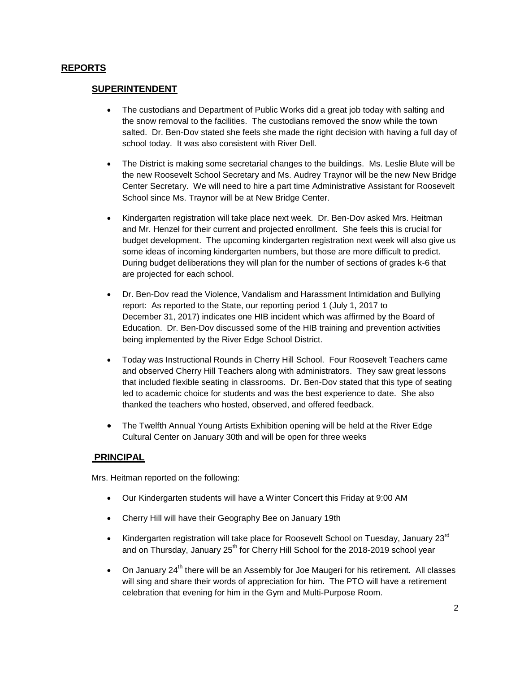## **REPORTS**

## **SUPERINTENDENT**

- The custodians and Department of Public Works did a great job today with salting and the snow removal to the facilities. The custodians removed the snow while the town salted. Dr. Ben-Dov stated she feels she made the right decision with having a full day of school today. It was also consistent with River Dell.
- The District is making some secretarial changes to the buildings. Ms. Leslie Blute will be the new Roosevelt School Secretary and Ms. Audrey Traynor will be the new New Bridge Center Secretary. We will need to hire a part time Administrative Assistant for Roosevelt School since Ms. Traynor will be at New Bridge Center.
- Kindergarten registration will take place next week. Dr. Ben-Dov asked Mrs. Heitman and Mr. Henzel for their current and projected enrollment. She feels this is crucial for budget development. The upcoming kindergarten registration next week will also give us some ideas of incoming kindergarten numbers, but those are more difficult to predict. During budget deliberations they will plan for the number of sections of grades k-6 that are projected for each school.
- Dr. Ben-Dov read the Violence, Vandalism and Harassment Intimidation and Bullying report: As reported to the State, our reporting period 1 (July 1, 2017 to December 31, 2017) indicates one HIB incident which was affirmed by the Board of Education. Dr. Ben-Dov discussed some of the HIB training and prevention activities being implemented by the River Edge School District.
- Today was Instructional Rounds in Cherry Hill School. Four Roosevelt Teachers came and observed Cherry Hill Teachers along with administrators. They saw great lessons that included flexible seating in classrooms. Dr. Ben-Dov stated that this type of seating led to academic choice for students and was the best experience to date. She also thanked the teachers who hosted, observed, and offered feedback.
- The Twelfth Annual Young Artists Exhibition opening will be held at the River Edge Cultural Center on January 30th and will be open for three weeks

### **PRINCIPAL**

Mrs. Heitman reported on the following:

- Our Kindergarten students will have a Winter Concert this Friday at 9:00 AM
- Cherry Hill will have their Geography Bee on January 19th
- Kindergarten registration will take place for Roosevelt School on Tuesday, January  $23^{\text{rd}}$ and on Thursday, January  $25<sup>th</sup>$  for Cherry Hill School for the 2018-2019 school year
- $\bullet$  On January 24<sup>th</sup> there will be an Assembly for Joe Maugeri for his retirement. All classes will sing and share their words of appreciation for him. The PTO will have a retirement celebration that evening for him in the Gym and Multi-Purpose Room.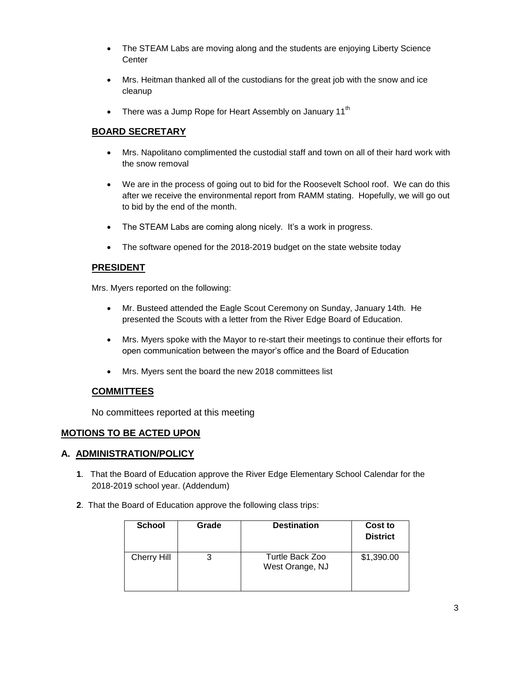- The STEAM Labs are moving along and the students are enjoying Liberty Science **Center**
- Mrs. Heitman thanked all of the custodians for the great job with the snow and ice cleanup
- There was a Jump Rope for Heart Assembly on January 11<sup>th</sup>

# **BOARD SECRETARY**

- Mrs. Napolitano complimented the custodial staff and town on all of their hard work with the snow removal
- We are in the process of going out to bid for the Roosevelt School roof. We can do this after we receive the environmental report from RAMM stating. Hopefully, we will go out to bid by the end of the month.
- The STEAM Labs are coming along nicely. It's a work in progress.
- The software opened for the 2018-2019 budget on the state website today

## **PRESIDENT**

Mrs. Myers reported on the following:

- Mr. Busteed attended the Eagle Scout Ceremony on Sunday, January 14th. He presented the Scouts with a letter from the River Edge Board of Education.
- Mrs. Myers spoke with the Mayor to re-start their meetings to continue their efforts for open communication between the mayor's office and the Board of Education
- Mrs. Myers sent the board the new 2018 committees list

### **COMMITTEES**

No committees reported at this meeting

### **MOTIONS TO BE ACTED UPON**

### **A. ADMINISTRATION/POLICY**

- **1**. That the Board of Education approve the River Edge Elementary School Calendar for the 2018-2019 school year. (Addendum)
- **2**. That the Board of Education approve the following class trips:

| <b>School</b> | Grade | <b>Destination</b>                 | Cost to<br><b>District</b> |
|---------------|-------|------------------------------------|----------------------------|
| Cherry Hill   | 3     | Turtle Back Zoo<br>West Orange, NJ | \$1,390.00                 |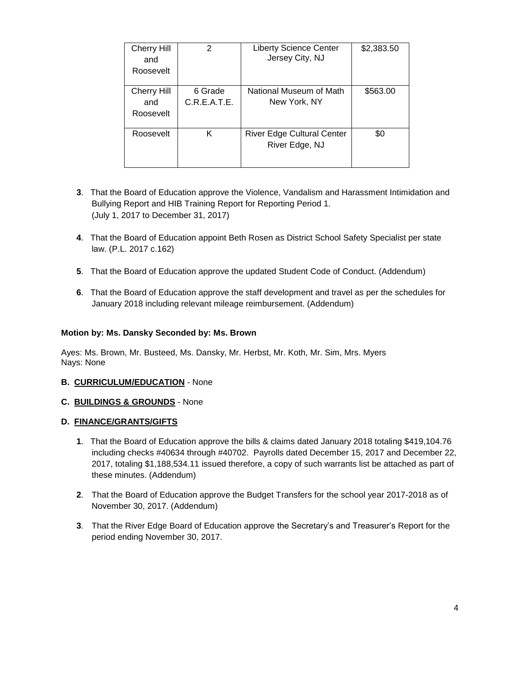| <b>Cherry Hill</b><br>and<br>Roosevelt | 2                       | <b>Liberty Science Center</b><br>Jersey City, NJ    | \$2,383.50 |
|----------------------------------------|-------------------------|-----------------------------------------------------|------------|
| Cherry Hill<br>and<br>Roosevelt        | 6 Grade<br>C.R.E.A.T.E. | National Museum of Math<br>New York, NY             | \$563.00   |
| Roosevelt                              | Κ                       | <b>River Edge Cultural Center</b><br>River Edge, NJ | \$0        |

- **3**. That the Board of Education approve the Violence, Vandalism and Harassment Intimidation and Bullying Report and HIB Training Report for Reporting Period 1. (July 1, 2017 to December 31, 2017)
- **4**. That the Board of Education appoint Beth Rosen as District School Safety Specialist per state law. (P.L. 2017 c.162)
- **5**. That the Board of Education approve the updated Student Code of Conduct. (Addendum)
- **6**. That the Board of Education approve the staff development and travel as per the schedules for January 2018 including relevant mileage reimbursement. (Addendum)

#### **Motion by: Ms. Dansky Seconded by: Ms. Brown**

Ayes: Ms. Brown, Mr. Busteed, Ms. Dansky, Mr. Herbst, Mr. Koth, Mr. Sim, Mrs. Myers Nays: None

#### **B. CURRICULUM/EDUCATION** - None

#### **C. BUILDINGS & GROUNDS** - None

#### **D. FINANCE/GRANTS/GIFTS**

- **1**. That the Board of Education approve the bills & claims dated January 2018 totaling \$419,104.76 including checks #40634 through #40702. Payrolls dated December 15, 2017 and December 22, 2017, totaling \$1,188,534.11 issued therefore, a copy of such warrants list be attached as part of these minutes. (Addendum)
- **2**. That the Board of Education approve the Budget Transfers for the school year 2017-2018 as of November 30, 2017. (Addendum)
- **3**. That the River Edge Board of Education approve the Secretary's and Treasurer's Report for the period ending November 30, 2017.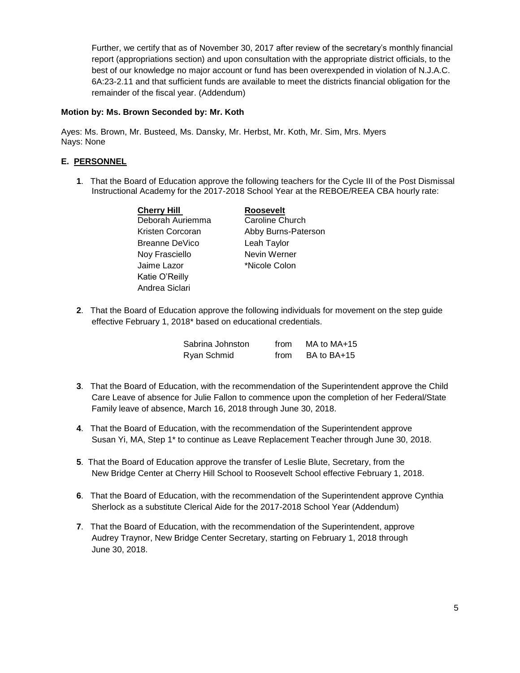Further, we certify that as of November 30, 2017 after review of the secretary's monthly financial report (appropriations section) and upon consultation with the appropriate district officials, to the best of our knowledge no major account or fund has been overexpended in violation of N.J.A.C. 6A:23-2.11 and that sufficient funds are available to meet the districts financial obligation for the remainder of the fiscal year. (Addendum)

#### **Motion by: Ms. Brown Seconded by: Mr. Koth**

Ayes: Ms. Brown, Mr. Busteed, Ms. Dansky, Mr. Herbst, Mr. Koth, Mr. Sim, Mrs. Myers Nays: None

## **E. PERSONNEL**

**1**. That the Board of Education approve the following teachers for the Cycle III of the Post Dismissal Instructional Academy for the 2017-2018 School Year at the REBOE/REEA CBA hourly rate:

| <b>Cherry Hill</b> | <b>Roosevelt</b>       |
|--------------------|------------------------|
| Deborah Auriemma   | <b>Caroline Church</b> |
| Kristen Corcoran   | Abby Burns-Paterson    |
| Breanne DeVico     | Leah Taylor            |
| Noy Frasciello     | Nevin Werner           |
| Jaime Lazor        | *Nicole Colon          |
| Katie O'Reilly     |                        |
| Andrea Siclari     |                        |

**2**. That the Board of Education approve the following individuals for movement on the step guide effective February 1, 2018\* based on educational credentials.

| Sabrina Johnston | from | MA to MA+15 |
|------------------|------|-------------|
| Ryan Schmid      | from | BA to BA+15 |

- **3**. That the Board of Education, with the recommendation of the Superintendent approve the Child Care Leave of absence for Julie Fallon to commence upon the completion of her Federal/State Family leave of absence, March 16, 2018 through June 30, 2018.
- **4**. That the Board of Education, with the recommendation of the Superintendent approve Susan Yi, MA, Step 1\* to continue as Leave Replacement Teacher through June 30, 2018.
- **5**. That the Board of Education approve the transfer of Leslie Blute, Secretary, from the New Bridge Center at Cherry Hill School to Roosevelt School effective February 1, 2018.
- **6**. That the Board of Education, with the recommendation of the Superintendent approve Cynthia Sherlock as a substitute Clerical Aide for the 2017-2018 School Year (Addendum)
- **7**. That the Board of Education, with the recommendation of the Superintendent, approve Audrey Traynor, New Bridge Center Secretary, starting on February 1, 2018 through June 30, 2018.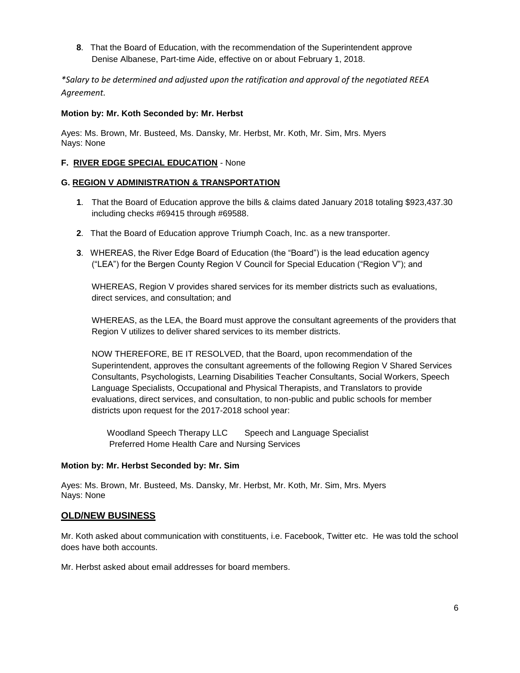**8**. That the Board of Education, with the recommendation of the Superintendent approve Denise Albanese, Part-time Aide, effective on or about February 1, 2018.

*\*Salary to be determined and adjusted upon the ratification and approval of the negotiated REEA Agreement.*

#### **Motion by: Mr. Koth Seconded by: Mr. Herbst**

Ayes: Ms. Brown, Mr. Busteed, Ms. Dansky, Mr. Herbst, Mr. Koth, Mr. Sim, Mrs. Myers Nays: None

### **F. RIVER EDGE SPECIAL EDUCATION** - None

#### **G. REGION V ADMINISTRATION & TRANSPORTATION**

- **1**. That the Board of Education approve the bills & claims dated January 2018 totaling \$923,437.30 including checks #69415 through #69588.
- **2**. That the Board of Education approve Triumph Coach, Inc. as a new transporter.
- **3**. WHEREAS, the River Edge Board of Education (the "Board") is the lead education agency ("LEA") for the Bergen County Region V Council for Special Education ("Region V"); and

WHEREAS, Region V provides shared services for its member districts such as evaluations, direct services, and consultation; and

WHEREAS, as the LEA, the Board must approve the consultant agreements of the providers that Region V utilizes to deliver shared services to its member districts.

NOW THEREFORE, BE IT RESOLVED, that the Board, upon recommendation of the Superintendent, approves the consultant agreements of the following Region V Shared Services Consultants, Psychologists, Learning Disabilities Teacher Consultants, Social Workers, Speech Language Specialists, Occupational and Physical Therapists, and Translators to provide evaluations, direct services, and consultation, to non-public and public schools for member districts upon request for the 2017-2018 school year:

Woodland Speech Therapy LLC Speech and Language Specialist Preferred Home Health Care and Nursing Services

#### **Motion by: Mr. Herbst Seconded by: Mr. Sim**

Ayes: Ms. Brown, Mr. Busteed, Ms. Dansky, Mr. Herbst, Mr. Koth, Mr. Sim, Mrs. Myers Nays: None

### **OLD/NEW BUSINESS**

Mr. Koth asked about communication with constituents, i.e. Facebook, Twitter etc. He was told the school does have both accounts.

Mr. Herbst asked about email addresses for board members.